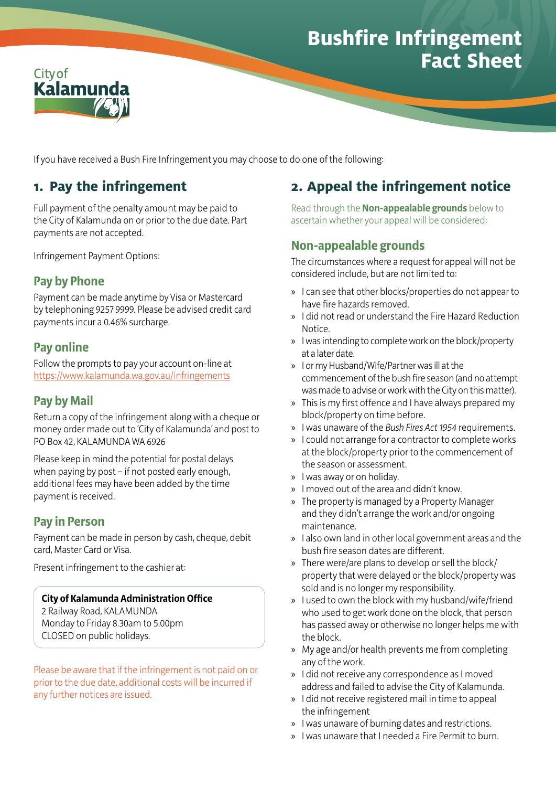# **Bushfire Infringement Fact Sheet**



If you have received a Bush Fire Infringement you may choose to do one of the following:

## **1. Pay the infringement**

Full payment of the penalty amount may be paid to the City of Kalamunda on or prior to the due date. Part payments are not accepted.

Infringement Payment Options:

## **Pay by Phone**

Payment can be made anytime by Visa or Mastercard by telephoning 9257 9999. Please be advised credit card payments incur a 0.46% surcharge.

#### **Pay online**

Follow the prompts to pay your account on-line at <https://www.kalamunda.wa.gov.au/infringements>

#### **Pay by Mail**

Return a copy of the infringement along with a cheque or money order made out to 'City of Kalamunda' and post to PO Box 42, KALAMUNDA WA 6926

Please keep in mind the potential for postal delays when paying by post – if not posted early enough, additional fees may have been added by the time payment is received.

### **Pay in Person**

Payment can be made in person by cash, cheque, debit card, Master Card or Visa.

Present infringement to the cashier at:

#### **City of Kalamunda Administration Office**

2 Railway Road, KALAMUNDA Monday to Friday 8.30am to 5.00pm CLOSED on public holidays.

Please be aware that if the infringement is not paid on or prior to the due date, additional costs will be incurred if any further notices are issued.

# **2. Appeal the infringement notice**

Read through the **Non-appealable grounds** below to ascertain whether your appeal will be considered:

### **Non-appealable grounds**

The circumstances where a request for appeal will not be considered include, but are not limited to:

- » I can see that other blocks/properties do not appear to have fire hazards removed.
- » I did not read or understand the Fire Hazard Reduction Notice.
- » I was intending to complete work on the block/property at a later date.
- » I or my Husband/Wife/Partner was ill at the commencement of the bush fire season (and no attempt was made to advise or work with the City on this matter).
- » This is my first offence and I have always prepared my block/property on time before.
- » I was unaware of the *Bush Fires Act 1954* requirements.
- » I could not arrange for a contractor to complete works at the block/property prior to the commencement of the season or assessment.
- » I was away or on holiday.
- » I moved out of the area and didn't know.
- » The property is managed by a Property Manager and they didn't arrange the work and/or ongoing maintenance.
- » I also own land in other local government areas and the bush fire season dates are different.
- » There were/are plans to develop or sell the block/ property that were delayed or the block/property was sold and is no longer my responsibility.
- » I used to own the block with my husband/wife/friend who used to get work done on the block, that person has passed away or otherwise no longer helps me with the block.
- » My age and/or health prevents me from completing any of the work.
- » I did not receive any correspondence as I moved address and failed to advise the City of Kalamunda.
- » I did not receive registered mail in time to appeal the infringement
- » I was unaware of burning dates and restrictions.
- » I was unaware that I needed a Fire Permit to burn.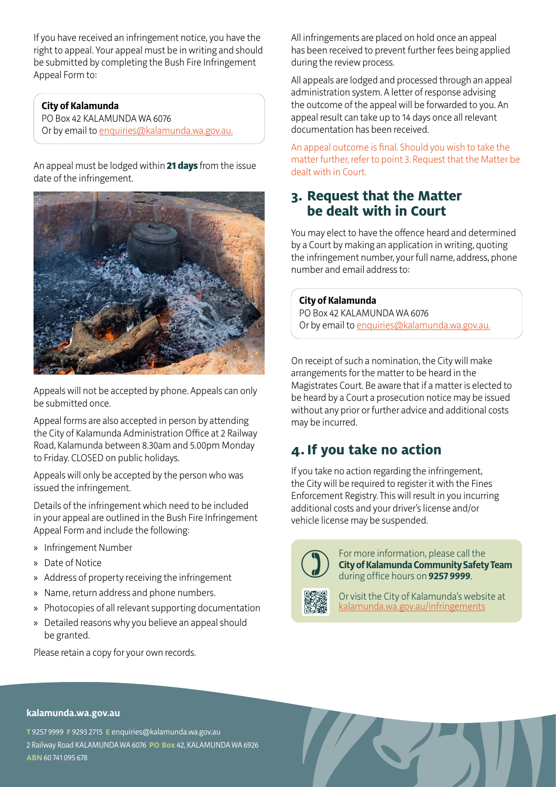If you have received an infringement notice, you have the right to appeal. Your appeal must be in writing and should be submitted by completing the Bush Fire Infringement Appeal Form to:

#### **City of Kalamunda**

PO Box 42 KALAMUNDA WA 6076 Or by email to [enquiries@kalamunda.wa.gov.au.](mailto:enquiries@kalamunda.wa.gov.au)

An appeal must be lodged within 21 days from the issue date of the infringement.



Appeals will not be accepted by phone. Appeals can only be submitted once.

Appeal forms are also accepted in person by attending the City of Kalamunda Administration Office at 2 Railway Road, Kalamunda between 8.30am and 5.00pm Monday to Friday. CLOSED on public holidays.

Appeals will only be accepted by the person who was issued the infringement.

Details of the infringement which need to be included in your appeal are outlined in the Bush Fire Infringement Appeal Form and include the following:

- » Infringement Number
- » Date of Notice
- » Address of property receiving the infringement
- » Name, return address and phone numbers.
- » Photocopies of all relevant supporting documentation
- » Detailed reasons why you believe an appeal should be granted.

Please retain a copy for your own records.

All infringements are placed on hold once an appeal has been received to prevent further fees being applied during the review process.

All appeals are lodged and processed through an appeal administration system. A letter of response advising the outcome of the appeal will be forwarded to you. An appeal result can take up to 14 days once all relevant documentation has been received.

An appeal outcome is final. Should you wish to take the matter further, refer to point 3. Request that the Matter be dealt with in Court.

### **3. Request that the Matter be dealt with in Court**

You may elect to have the offence heard and determined by a Court by making an application in writing, quoting the infringement number, your full name, address, phone number and email address to:

#### **City of Kalamunda**

PO Box 42 KALAMUNDA WA 6076 Or by email to [enquiries@kalamunda.wa.gov.au](mailto:enquiries@kalamunda.wa.gov.au).

On receipt of such a nomination, the City will make arrangements for the matter to be heard in the Magistrates Court. Be aware that if a matter is elected to be heard by a Court a prosecution notice may be issued without any prior or further advice and additional costs may be incurred.

## **4.If you take no action**

If you take no action regarding the infringement, the City will be required to register it with the Fines Enforcement Registry. This will result in you incurring additional costs and your driver's license and/or vehicle license may be suspended.



 For more information, please call the **City of Kalamunda Community Safety Team** during office hours on **9257 9999**.



Or visit the City of Kalamunda's website at [kalamunda.wa.gov.au/infringements](https://www.kalamunda.wa.gov.au/infringements)

#### **kalamunda.wa.gov.au**

**T** 9257 9999 **F** 9293 2715 **E** enquiries@kalamunda.wa.gov.au 2 Railway Road KALAMUNDA WA 6076 **PO Box** 42, KALAMUNDA WA 6926 **ABN**60 741 095 678